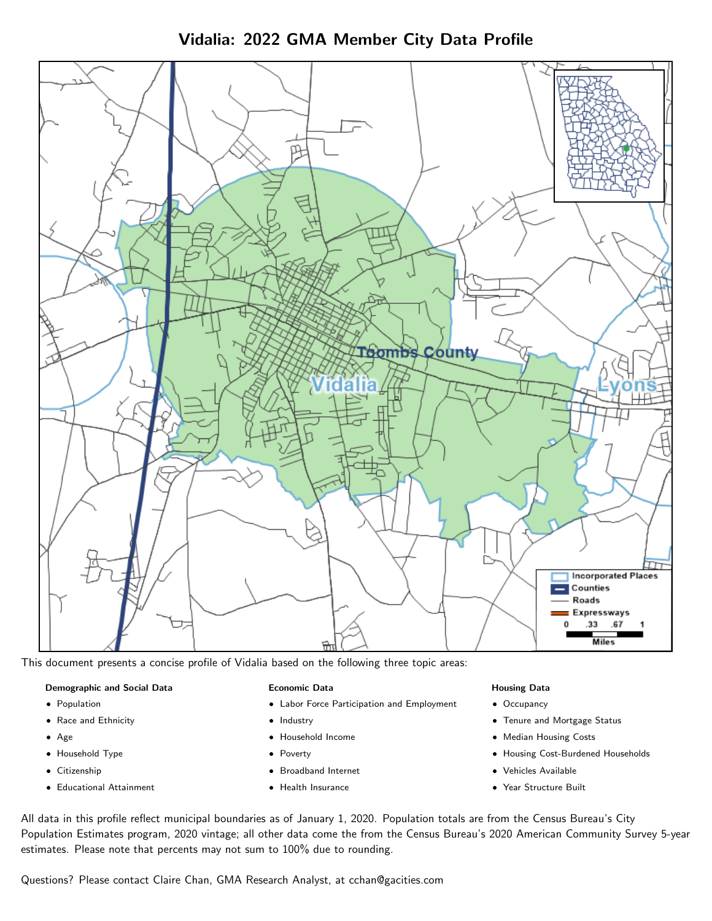Vidalia: 2022 GMA Member City Data Profile



This document presents a concise profile of Vidalia based on the following three topic areas:

## Demographic and Social Data

- **•** Population
- Race and Ethnicity
- Age
- Household Type
- **Citizenship**
- Educational Attainment

#### Economic Data

- Labor Force Participation and Employment
- Industry
- Household Income
- Poverty
- Broadband Internet
- Health Insurance

#### Housing Data

- Occupancy
- Tenure and Mortgage Status
- Median Housing Costs
- Housing Cost-Burdened Households
- Vehicles Available
- Year Structure Built

All data in this profile reflect municipal boundaries as of January 1, 2020. Population totals are from the Census Bureau's City Population Estimates program, 2020 vintage; all other data come the from the Census Bureau's 2020 American Community Survey 5-year estimates. Please note that percents may not sum to 100% due to rounding.

Questions? Please contact Claire Chan, GMA Research Analyst, at [cchan@gacities.com.](mailto:cchan@gacities.com)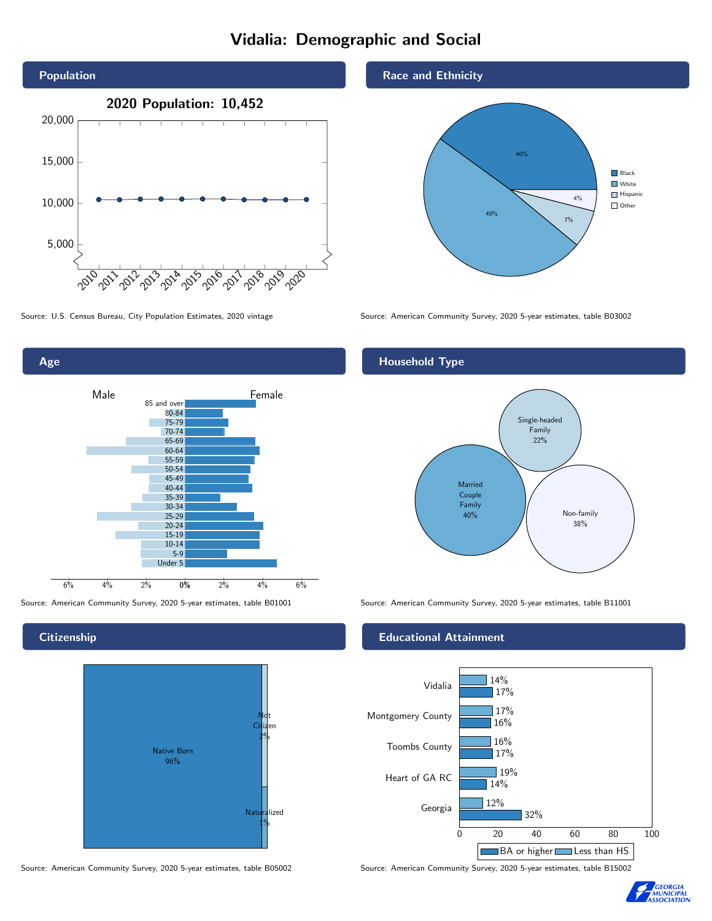# Vidalia: Demographic and Social





### **Citizenship**



Source: American Community Survey, 2020 5-year estimates, table B05002 Source: American Community Survey, 2020 5-year estimates, table B15002

Race and Ethnicity



Source: U.S. Census Bureau, City Population Estimates, 2020 vintage Source: American Community Survey, 2020 5-year estimates, table B03002

## Household Type



Source: American Community Survey, 2020 5-year estimates, table B01001 Source: American Community Survey, 2020 5-year estimates, table B11001

#### Educational Attainment



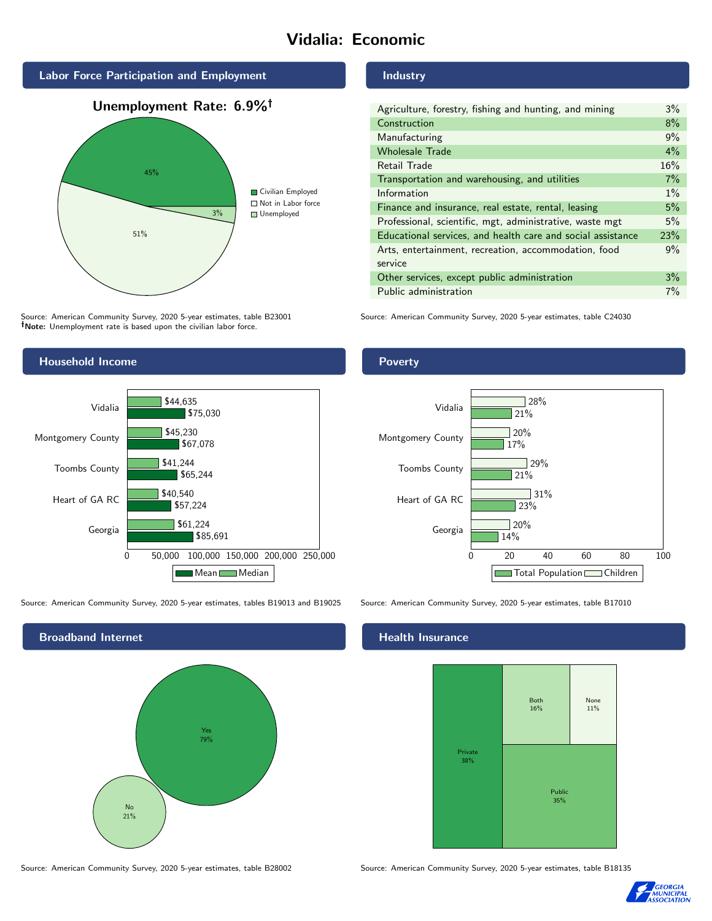# Vidalia: Economic



Source: American Community Survey, 2020 5-year estimates, table B23001 Note: Unemployment rate is based upon the civilian labor force.

## Household Income



Source: American Community Survey, 2020 5-year estimates, tables B19013 and B19025 Source: American Community Survey, 2020 5-year estimates, table B17010



Source: American Community Survey, 2020 5-year estimates, table B28002 Source: American Community Survey, 2020 5-year estimates, table B18135

#### Industry

| Agriculture, forestry, fishing and hunting, and mining      | $3\%$ |
|-------------------------------------------------------------|-------|
| Construction                                                | 8%    |
| Manufacturing                                               | 9%    |
| <b>Wholesale Trade</b>                                      | $4\%$ |
| Retail Trade                                                | 16%   |
| Transportation and warehousing, and utilities               | 7%    |
| Information                                                 | $1\%$ |
| Finance and insurance, real estate, rental, leasing         | 5%    |
| Professional, scientific, mgt, administrative, waste mgt    | 5%    |
| Educational services, and health care and social assistance | 23%   |
| Arts, entertainment, recreation, accommodation, food        | 9%    |
| service                                                     |       |
| Other services, except public administration                | 3%    |
| Public administration                                       | 7%    |

Source: American Community Survey, 2020 5-year estimates, table C24030

### Poverty



#### Health Insurance